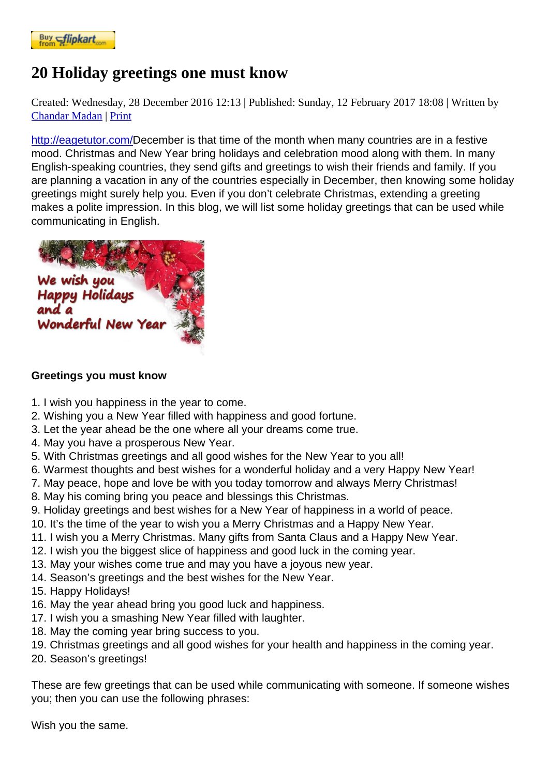## [20 Holiday g](https://www.flipkart.com/spoken-english-3rd/p/itmezunpyjy5xcc7?pid=9789339221461&affid=kaminiraw)reetings one must know

Created: Wednesday, 28 December 2016 12PL blished: Sunday, 12 February 2017 18:08 itten by **Chandar Madan Print** 

http://eagetutor.com/December is that time of the month when many countries are in a festive mood. Christmas and New Year bring holidays and celebration mood along with them. In many [English-speaki](https://english.eagetutor.com/contact)ng countries, they send gifts and greetings to wish their friends and family. If you [are planning a vacati](http://eagetutor.com/)on in any of the countries especially in December, then knowing some holiday greetings might surely help you. Even if you don't celebrate Christmas, extending a greeting makes a polite impression. In this blog, we will list some holiday greetings that can be used while communicating in English.

## [Greetings you must know](http://eagetutor.com/)

- 1. I wish you happiness in the year to come.
- 2. Wishing you a New Year filled with happiness and good fortune.
- 3. Let the year ahead be the one where all your dreams come true.
- 4. May you have a prosperous New Year.
- 5. With Christmas greetings and all good wishes for the New Year to you all!
- 6. Warmest thoughts and best wishes for a wonderful holiday and a very Happy New Year!
- 7. May peace, hope and love be with you today tomorrow and always Merry Christmas!
- 8. May his coming bring you peace and blessings this Christmas.
- 9. Holiday greetings and best wishes for a New Year of happiness in a world of peace.
- 10. It's the time of the year to wish you a Merry Christmas and a Happy New Year.
- 11. I wish you a Merry Christmas. Many gifts from Santa Claus and a Happy New Year.
- 12. I wish you the biggest slice of happiness and good luck in the coming year.
- 13. May your wishes come true and may you have a joyous new year.
- 14. Season's greetings and the best wishes for the New Year.
- 15. Happy Holidays!
- 16. May the year ahead bring you good luck and happiness.
- 17. I wish you a smashing New Year filled with laughter.
- 18. May the coming year bring success to you.
- 19. Christmas greetings and all good wishes for your health and happiness in the coming year.
- 20. Season's greetings!

These are few greetings that can be used while communicating with someone. If someone wishes you; then you can use the following phrases:

Wish you the same.